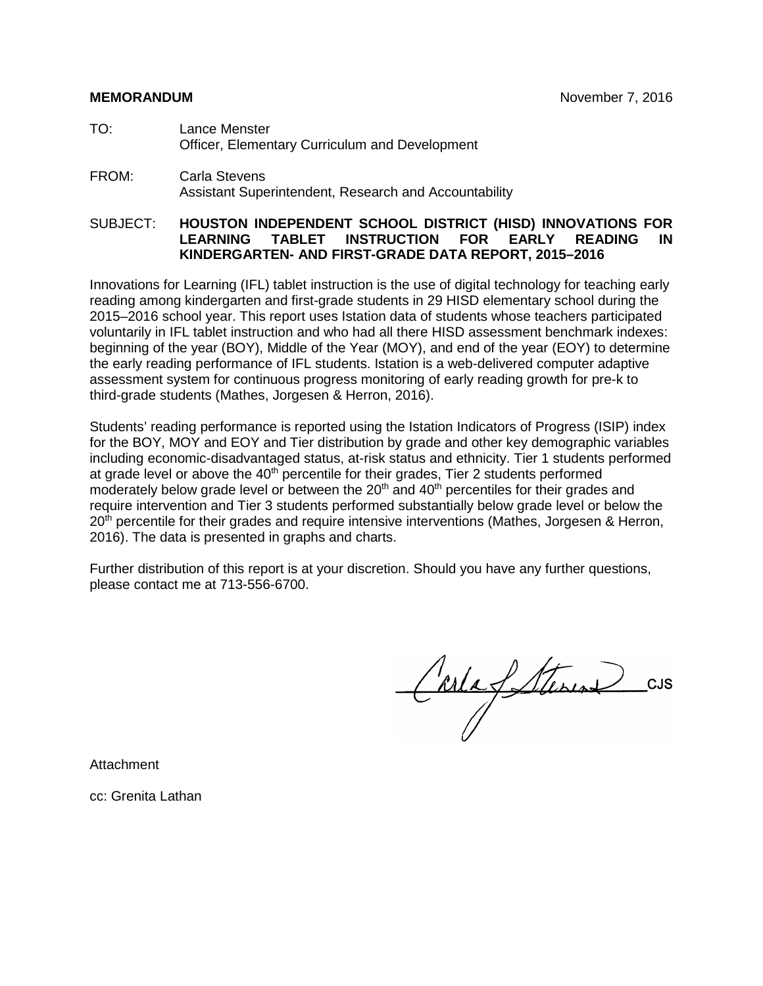### **MEMORANDUM** November 7, 2016

- TO: Lance Menster Officer, Elementary Curriculum and Development
- FROM: Carla Stevens Assistant Superintendent, Research and Accountability

### SUBJECT: **HOUSTON INDEPENDENT SCHOOL DISTRICT (HISD) INNOVATIONS FOR LEARNING TABLET INSTRUCTION FOR EARLY READING IN KINDERGARTEN- AND FIRST-GRADE DATA REPORT, 2015–2016**

Innovations for Learning (IFL) tablet instruction is the use of digital technology for teaching early reading among kindergarten and first-grade students in 29 HISD elementary school during the 2015–2016 school year. This report uses Istation data of students whose teachers participated voluntarily in IFL tablet instruction and who had all there HISD assessment benchmark indexes: beginning of the year (BOY), Middle of the Year (MOY), and end of the year (EOY) to determine the early reading performance of IFL students. Istation is a web-delivered computer adaptive assessment system for continuous progress monitoring of early reading growth for pre-k to third-grade students (Mathes, Jorgesen & Herron, 2016).

Students' reading performance is reported using the Istation Indicators of Progress (ISIP) index for the BOY, MOY and EOY and Tier distribution by grade and other key demographic variables including economic-disadvantaged status, at-risk status and ethnicity. Tier 1 students performed at grade level or above the  $40<sup>th</sup>$  percentile for their grades, Tier 2 students performed moderately below grade level or between the  $20<sup>th</sup>$  and  $40<sup>th</sup>$  percentiles for their grades and require intervention and Tier 3 students performed substantially below grade level or below the 20<sup>th</sup> percentile for their grades and require intensive interventions (Mathes, Jorgesen & Herron, 2016). The data is presented in graphs and charts.

Further distribution of this report is at your discretion. Should you have any further questions, please contact me at 713-556-6700.

CarlaSterin CUS

Attachment

cc: Grenita Lathan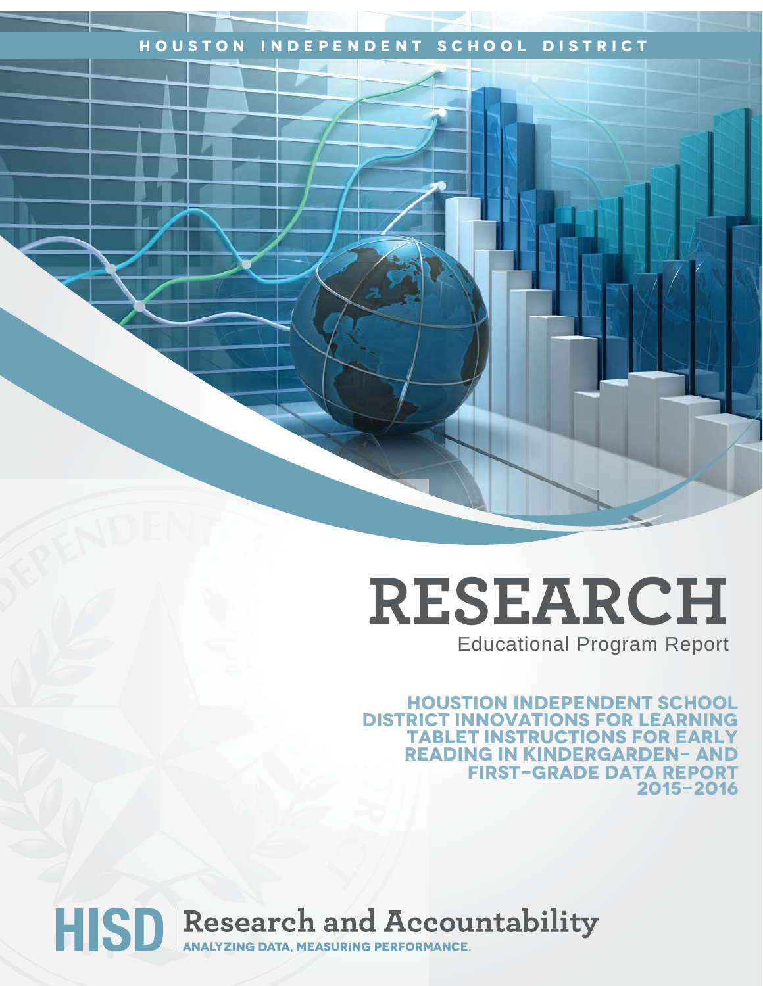## **Houston Independent School District**

## **RESEARCH** Educational Program Report

**Houstion independent School DISTRICT INNOVATIONS FOR LEARN tablet instructions for early reading in kindergarden- and first-grade data report 2015-2016** 

# HISD Research and Accountability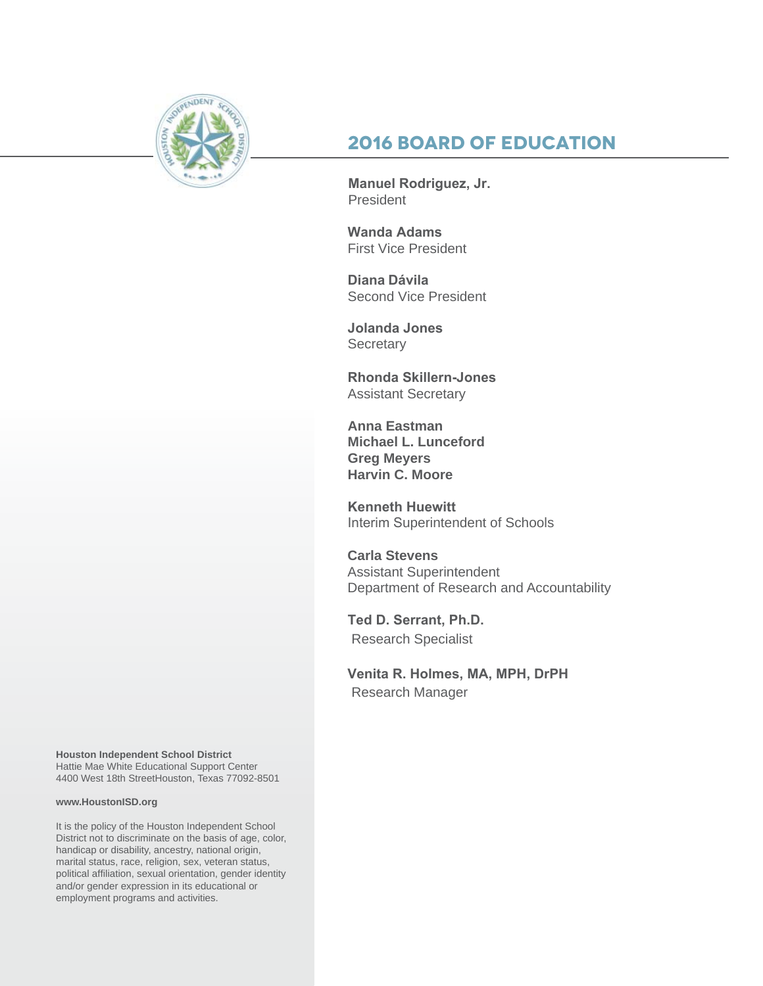

## **2016 Board of Education**

**Manuel Rodriguez, Jr.**  President

**Wanda Adams**  First Vice President

**Diana Dávila** Second Vice President

**Jolanda Jones Secretary** 

**Rhonda Skillern-Jones**  Assistant Secretary

**Anna Eastman Michael L. Lunceford Greg Meyers Harvin C. Moore**

**Kenneth Huewitt** Interim Superintendent of Schools

**Carla Stevens** Assistant Superintendent Department of Research and Accountability

**Ted D. Serrant, Ph.D.** Research Specialist

**Venita R. Holmes, MA, MPH, DrPH** Research Manager

**Houston Independent School District** Hattie Mae White Educational Support Center 4400 West 18th StreetHouston, Texas 77092-8501

#### **www.HoustonISD.org**

It is the policy of the Houston Independent School District not to discriminate on the basis of age, color, handicap or disability, ancestry, national origin, marital status, race, religion, sex, veteran status, political affiliation, sexual orientation, gender identity and/or gender expression in its educational or employment programs and activities.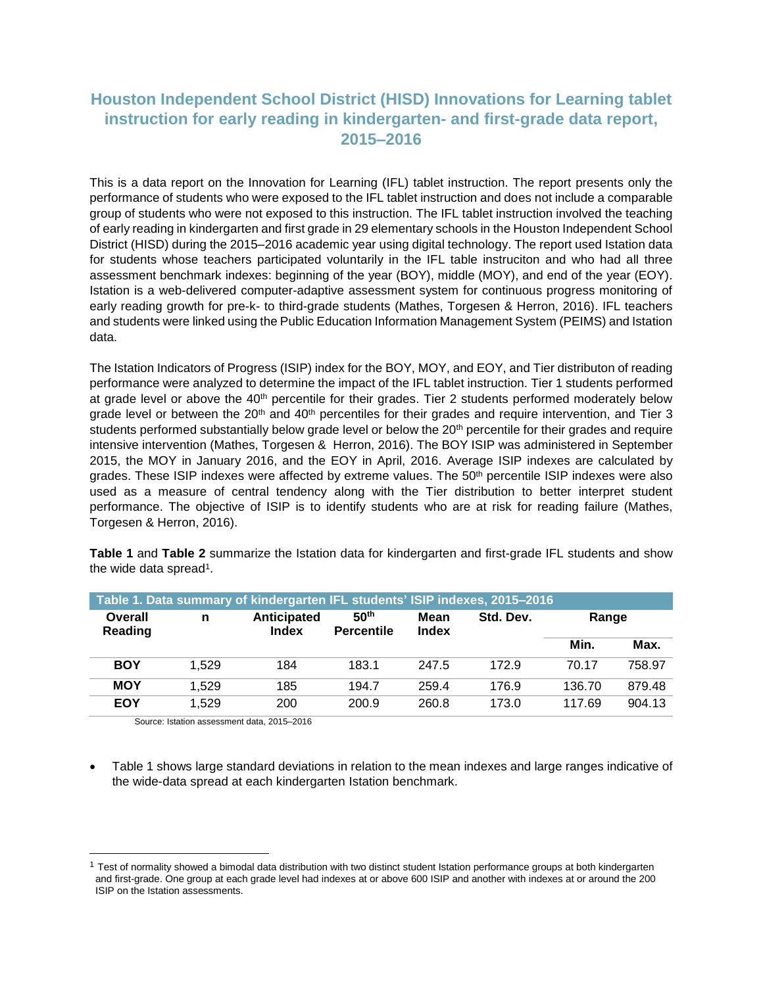## **Houston Independent School District (HISD) Innovations for Learning tablet instruction for early reading in kindergarten- and first-grade data report, 2015–2016**

This is a data report on the Innovation for Learning (IFL) tablet instruction. The report presents only the performance of students who were exposed to the IFL tablet instruction and does not include a comparable group of students who were not exposed to this instruction. The IFL tablet instruction involved the teaching of early reading in kindergarten and first grade in 29 elementary schools in the Houston Independent School District (HISD) during the 2015–2016 academic year using digital technology. The report used Istation data for students whose teachers participated voluntarily in the IFL table instruciton and who had all three assessment benchmark indexes: beginning of the year (BOY), middle (MOY), and end of the year (EOY). Istation is a web-delivered computer-adaptive assessment system for continuous progress monitoring of early reading growth for pre-k- to third-grade students (Mathes, Torgesen & Herron, 2016). IFL teachers and students were linked using the Public Education Information Management System (PEIMS) and Istation data.

The Istation Indicators of Progress (ISIP) index for the BOY, MOY, and EOY, and Tier distributon of reading performance were analyzed to determine the impact of the IFL tablet instruction. Tier 1 students performed at grade level or above the 40<sup>th</sup> percentile for their grades. Tier 2 students performed moderately below grade level or between the 20<sup>th</sup> and 40<sup>th</sup> percentiles for their grades and require intervention, and Tier 3 students performed substantially below grade level or below the 20<sup>th</sup> percentile for their grades and require intensive intervention (Mathes, Torgesen & Herron, 2016). The BOY ISIP was administered in September 2015, the MOY in January 2016, and the EOY in April, 2016. Average ISIP indexes are calculated by grades. These ISIP indexes were affected by extreme values. The 50<sup>th</sup> percentile ISIP indexes were also used as a measure of central tendency along with the Tier distribution to better interpret student performance. The objective of ISIP is to identify students who are at risk for reading failure (Mathes, Torgesen & Herron, 2016).

the wide data spread<sup>1</sup>. **Table 1. Data summary of kindergarten IFL students' ISIP indexes, 2015–2016**

**Table 1** and **Table 2** summarize the Istation data for kindergarten and first-grade IFL students and show

| Table 1. Data summary of kindergarten IFL students' ISIP indexes, 2015–2016 |       |                      |                                       |                      |           |        |        |  |  |  |
|-----------------------------------------------------------------------------|-------|----------------------|---------------------------------------|----------------------|-----------|--------|--------|--|--|--|
| Overall<br>Reading                                                          | n     | Anticipated<br>Index | 50 <sup>th</sup><br><b>Percentile</b> | Mean<br><b>Index</b> | Std. Dev. | Range  |        |  |  |  |
|                                                                             |       |                      |                                       |                      |           | Min.   | Max.   |  |  |  |
| <b>BOY</b>                                                                  | 1.529 | 184                  | 183.1                                 | 247.5                | 172.9     | 70.17  | 758.97 |  |  |  |
| <b>MOY</b>                                                                  | 1.529 | 185                  | 194.7                                 | 259.4                | 176.9     | 136.70 | 879.48 |  |  |  |
| <b>EOY</b>                                                                  | 1.529 | 200                  | 200.9                                 | 260.8                | 173.0     | 117.69 | 904.13 |  |  |  |

Source: Istation assessment data, 2015–2016

l

 Table 1 shows large standard deviations in relation to the mean indexes and large ranges indicative of the wide-data spread at each kindergarten Istation benchmark.

 $1$  Test of normality showed a bimodal data distribution with two distinct student Istation performance groups at both kindergarten and first-grade. One group at each grade level had indexes at or above 600 ISIP and another with indexes at or around the 200 ISIP on the Istation assessments.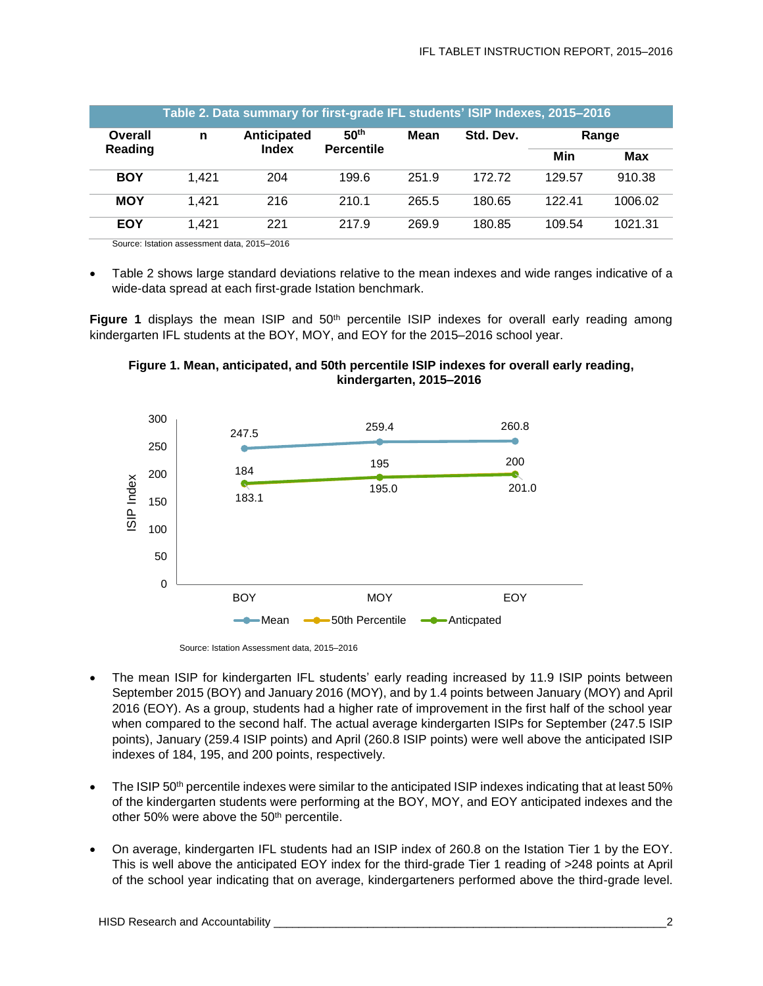|                    |       | Table 2. Data summary for first-grade IFL students' ISIP Indexes, 2015–2016 |                                       |       |           |        |         |
|--------------------|-------|-----------------------------------------------------------------------------|---------------------------------------|-------|-----------|--------|---------|
| Overall<br>Reading | n     | Anticipated<br><b>Index</b>                                                 | 50 <sup>th</sup><br><b>Percentile</b> | Mean  | Std. Dev. | Range  |         |
|                    |       |                                                                             |                                       |       |           | Min    | Max     |
| <b>BOY</b>         | 1,421 | 204                                                                         | 199.6                                 | 251.9 | 172.72    | 129.57 | 910.38  |
| <b>MOY</b>         | 1.421 | 216                                                                         | 210.1                                 | 265.5 | 180.65    | 122.41 | 1006.02 |
| <b>EOY</b>         | 1.421 | 221                                                                         | 217.9                                 | 269.9 | 180.85    | 109.54 | 1021.31 |

Source: Istation assessment data, 2015–2016

 Table 2 shows large standard deviations relative to the mean indexes and wide ranges indicative of a wide-data spread at each first-grade Istation benchmark.

**Figure 1** displays the mean ISIP and 50<sup>th</sup> percentile ISIP indexes for overall early reading among kindergarten IFL students at the BOY, MOY, and EOY for the 2015–2016 school year.





Source: Istation Assessment data, 2015–2016

- The mean ISIP for kindergarten IFL students' early reading increased by 11.9 ISIP points between September 2015 (BOY) and January 2016 (MOY), and by 1.4 points between January (MOY) and April 2016 (EOY). As a group, students had a higher rate of improvement in the first half of the school year when compared to the second half. The actual average kindergarten ISIPs for September (247.5 ISIP points), January (259.4 ISIP points) and April (260.8 ISIP points) were well above the anticipated ISIP indexes of 184, 195, and 200 points, respectively.
- The ISIP 50th percentile indexes were similar to the anticipated ISIP indexes indicating that at least 50% of the kindergarten students were performing at the BOY, MOY, and EOY anticipated indexes and the other 50% were above the 50<sup>th</sup> percentile.
- On average, kindergarten IFL students had an ISIP index of 260.8 on the Istation Tier 1 by the EOY. This is well above the anticipated EOY index for the third-grade Tier 1 reading of >248 points at April of the school year indicating that on average, kindergarteners performed above the third-grade level.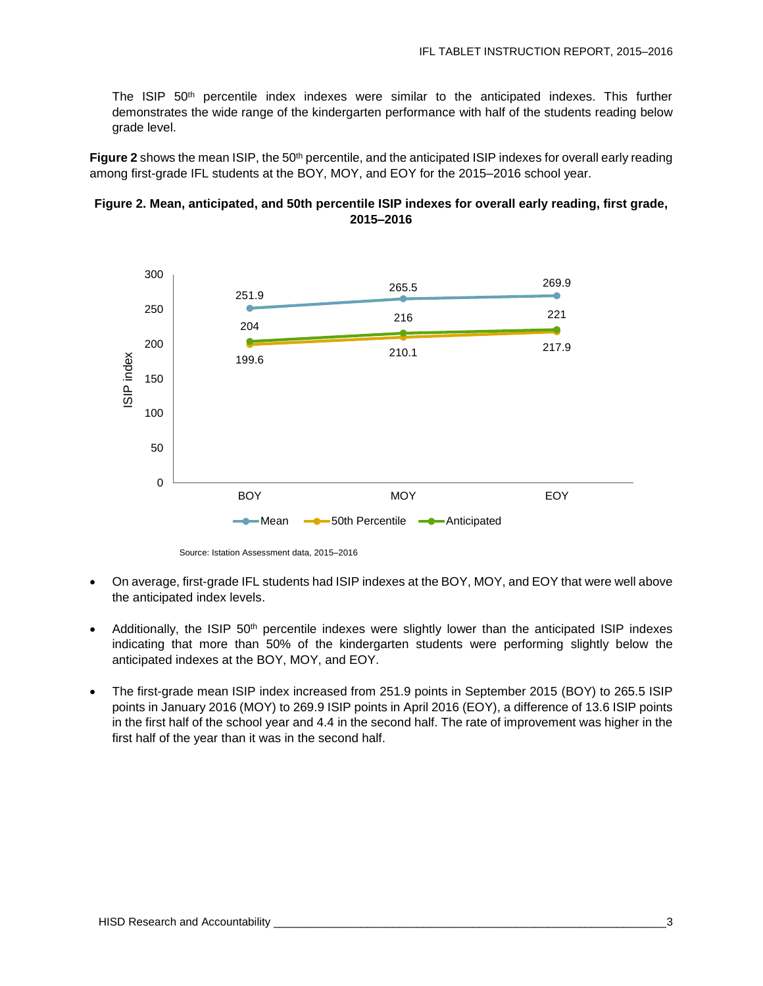The ISIP 50<sup>th</sup> percentile index indexes were similar to the anticipated indexes. This further demonstrates the wide range of the kindergarten performance with half of the students reading below grade level.

Figure 2 shows the mean ISIP, the 50<sup>th</sup> percentile, and the anticipated ISIP indexes for overall early reading among first-grade IFL students at the BOY, MOY, and EOY for the 2015–2016 school year.





Source: Istation Assessment data, 2015–2016

- On average, first-grade IFL students had ISIP indexes at the BOY, MOY, and EOY that were well above the anticipated index levels.
- Additionally, the ISIP 50<sup>th</sup> percentile indexes were slightly lower than the anticipated ISIP indexes indicating that more than 50% of the kindergarten students were performing slightly below the anticipated indexes at the BOY, MOY, and EOY.
- The first-grade mean ISIP index increased from 251.9 points in September 2015 (BOY) to 265.5 ISIP points in January 2016 (MOY) to 269.9 ISIP points in April 2016 (EOY), a difference of 13.6 ISIP points in the first half of the school year and 4.4 in the second half. The rate of improvement was higher in the first half of the year than it was in the second half.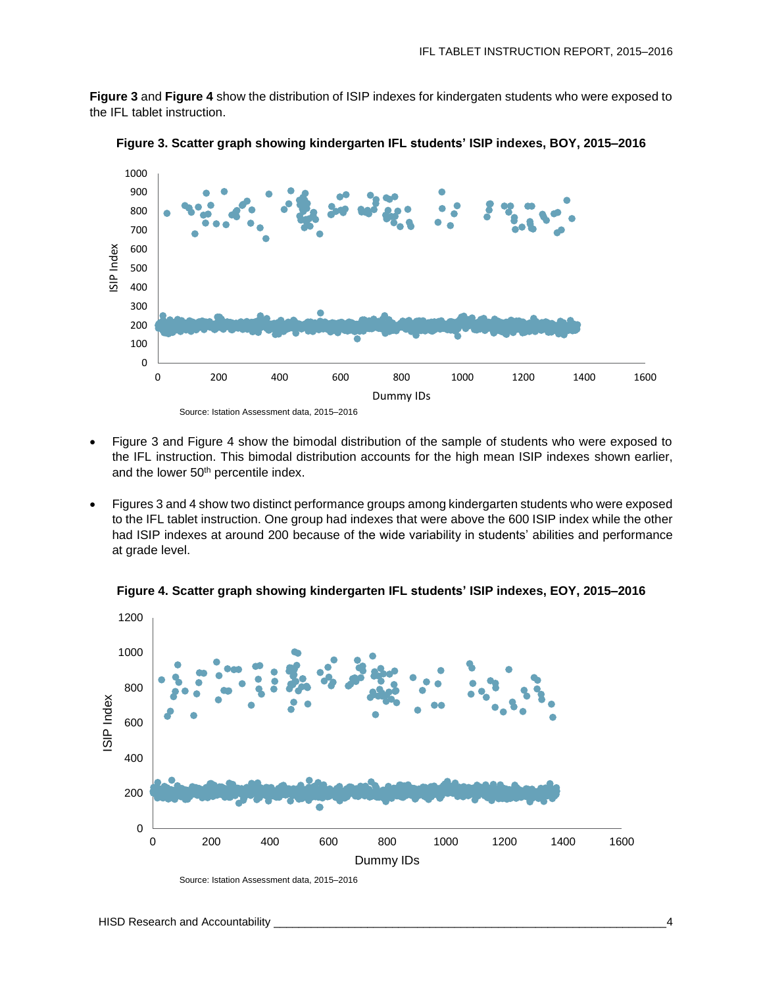**Figure 3** and **Figure 4** show the distribution of ISIP indexes for kindergaten students who were exposed to the IFL tablet instruction.



**Figure 3. Scatter graph showing kindergarten IFL students' ISIP indexes, BOY, 2015–2016**

Source: Istation Assessment data, 2015–2016

- Figure 3 and Figure 4 show the bimodal distribution of the sample of students who were exposed to the IFL instruction. This bimodal distribution accounts for the high mean ISIP indexes shown earlier, and the lower 50<sup>th</sup> percentile index.
- Figures 3 and 4 show two distinct performance groups among kindergarten students who were exposed to the IFL tablet instruction. One group had indexes that were above the 600 ISIP index while the other had ISIP indexes at around 200 because of the wide variability in students' abilities and performance at grade level.



**Figure 4. Scatter graph showing kindergarten IFL students' ISIP indexes, EOY, 2015–2016**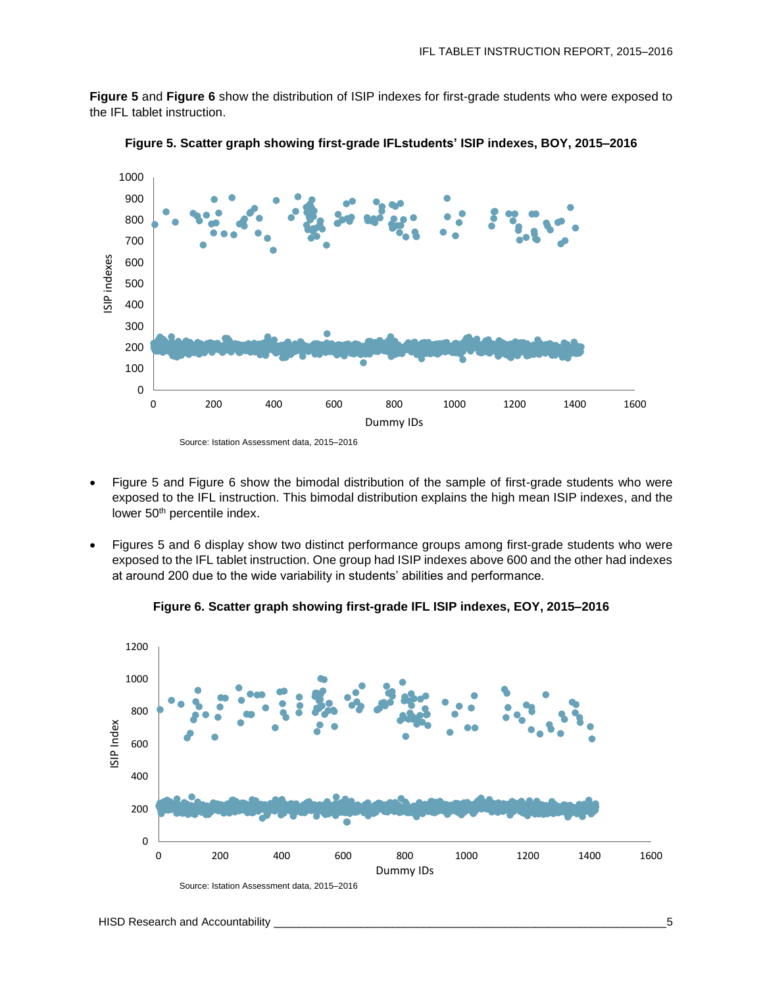**Figure 5** and **Figure 6** show the distribution of ISIP indexes for first-grade students who were exposed to the IFL tablet instruction.



**Figure 5. Scatter graph showing first-grade IFLstudents' ISIP indexes, BOY, 2015–2016**

- Figure 5 and Figure 6 show the bimodal distribution of the sample of first-grade students who were exposed to the IFL instruction. This bimodal distribution explains the high mean ISIP indexes, and the lower 50<sup>th</sup> percentile index.
- Figures 5 and 6 display show two distinct performance groups among first-grade students who were exposed to the IFL tablet instruction. One group had ISIP indexes above 600 and the other had indexes at around 200 due to the wide variability in students' abilities and performance.



**Figure 6. Scatter graph showing first-grade IFL ISIP indexes, EOY, 2015–2016**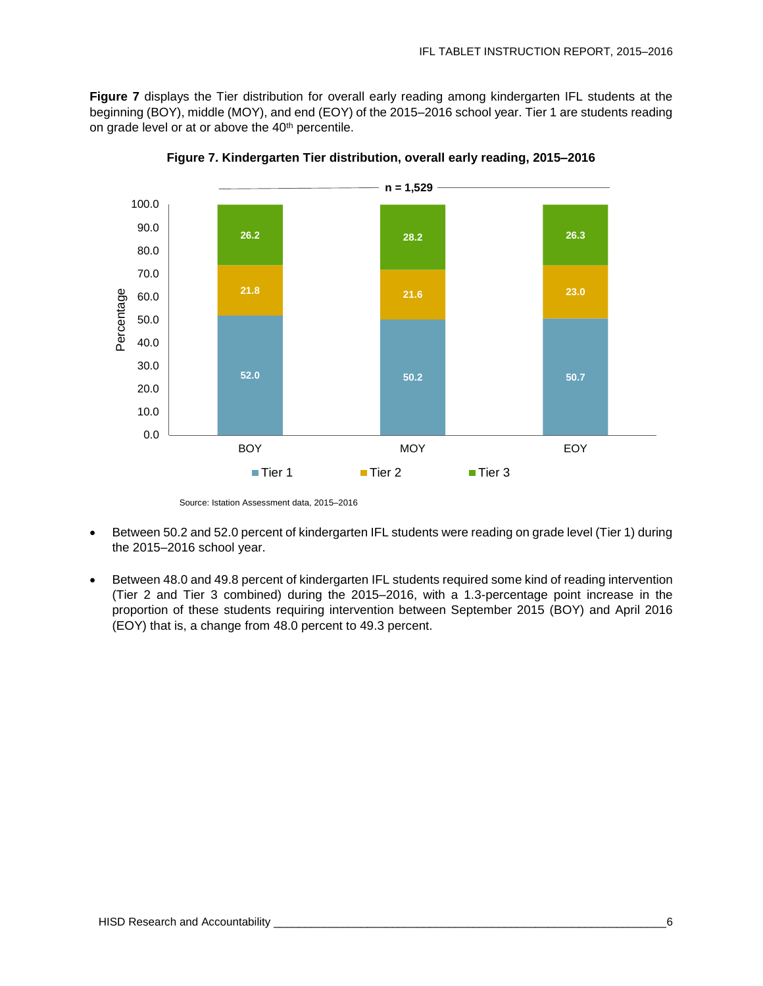Figure 7 displays the Tier distribution for overall early reading among kindergarten IFL students at the beginning (BOY), middle (MOY), and end (EOY) of the 2015–2016 school year. Tier 1 are students reading on grade level or at or above the 40<sup>th</sup> percentile.



**Figure 7. Kindergarten Tier distribution, overall early reading, 2015–2016**

- Between 50.2 and 52.0 percent of kindergarten IFL students were reading on grade level (Tier 1) during the 2015–2016 school year.
- Between 48.0 and 49.8 percent of kindergarten IFL students required some kind of reading intervention (Tier 2 and Tier 3 combined) during the 2015–2016, with a 1.3-percentage point increase in the proportion of these students requiring intervention between September 2015 (BOY) and April 2016 (EOY) that is, a change from 48.0 percent to 49.3 percent.

Source: Istation Assessment data, 2015–2016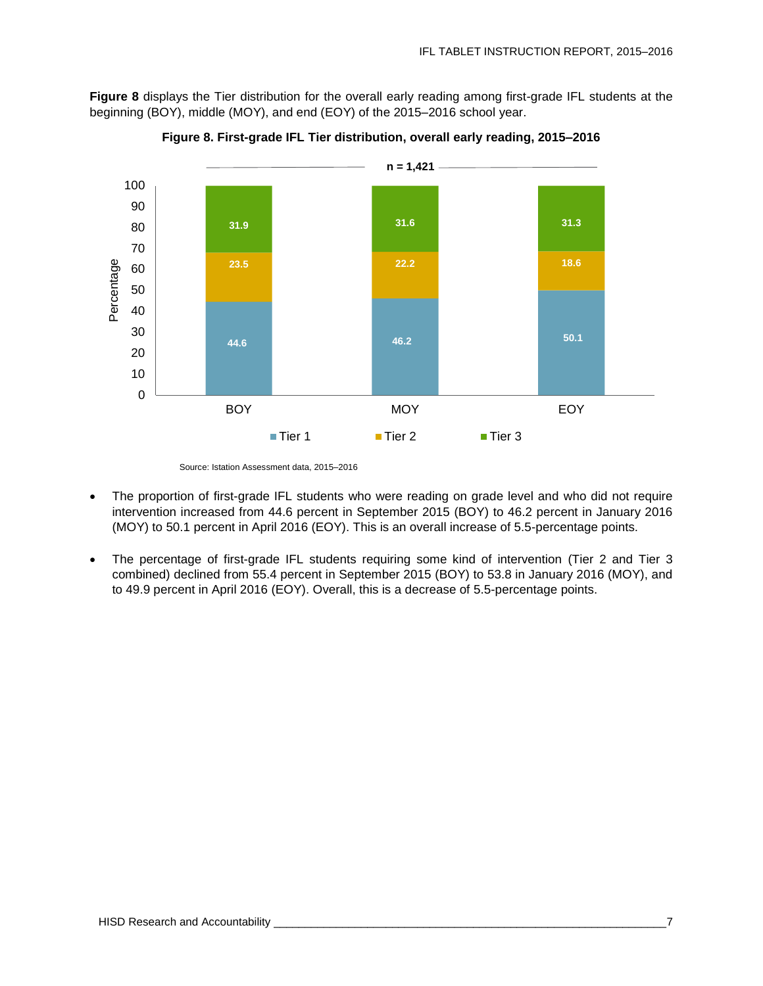**Figure 8** displays the Tier distribution for the overall early reading among first-grade IFL students at the beginning (BOY), middle (MOY), and end (EOY) of the 2015–2016 school year.



**Figure 8. First-grade IFL Tier distribution, overall early reading, 2015–2016**

- The proportion of first-grade IFL students who were reading on grade level and who did not require intervention increased from 44.6 percent in September 2015 (BOY) to 46.2 percent in January 2016 (MOY) to 50.1 percent in April 2016 (EOY). This is an overall increase of 5.5-percentage points.
- The percentage of first-grade IFL students requiring some kind of intervention (Tier 2 and Tier 3 combined) declined from 55.4 percent in September 2015 (BOY) to 53.8 in January 2016 (MOY), and to 49.9 percent in April 2016 (EOY). Overall, this is a decrease of 5.5-percentage points.

Source: Istation Assessment data, 2015–2016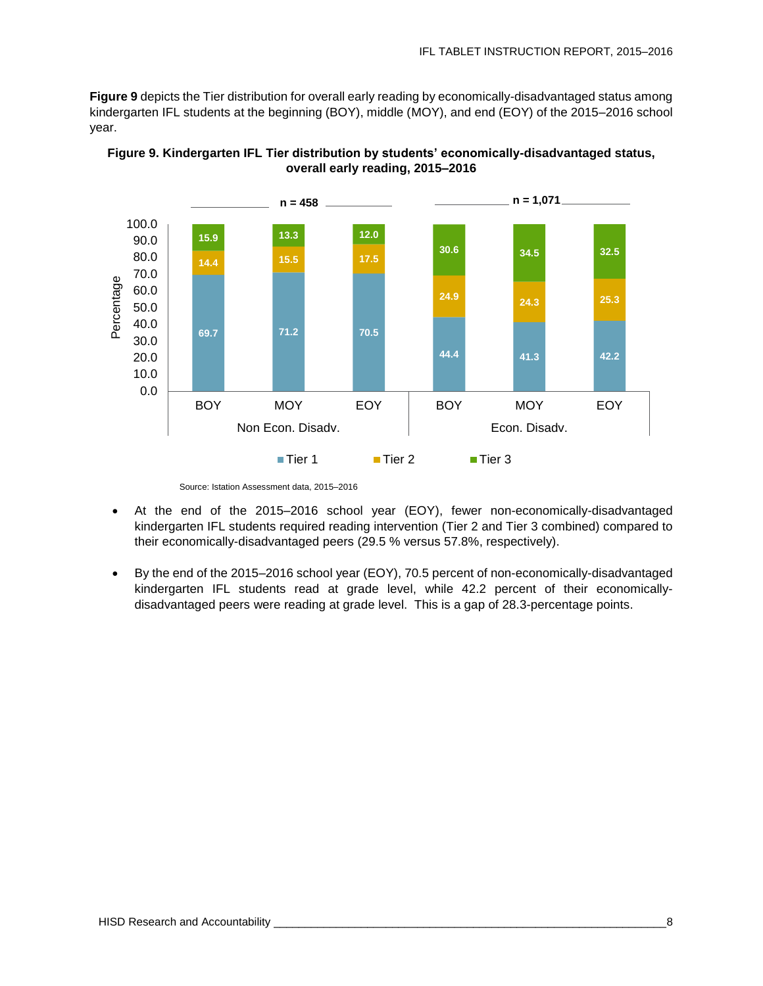**Figure 9** depicts the Tier distribution for overall early reading by economically-disadvantaged status among kindergarten IFL students at the beginning (BOY), middle (MOY), and end (EOY) of the 2015–2016 school year.





- At the end of the 2015–2016 school year (EOY), fewer non-economically-disadvantaged kindergarten IFL students required reading intervention (Tier 2 and Tier 3 combined) compared to their economically-disadvantaged peers (29.5 % versus 57.8%, respectively).
- By the end of the 2015–2016 school year (EOY), 70.5 percent of non-economically-disadvantaged kindergarten IFL students read at grade level, while 42.2 percent of their economicallydisadvantaged peers were reading at grade level. This is a gap of 28.3-percentage points.

Source: Istation Assessment data, 2015–2016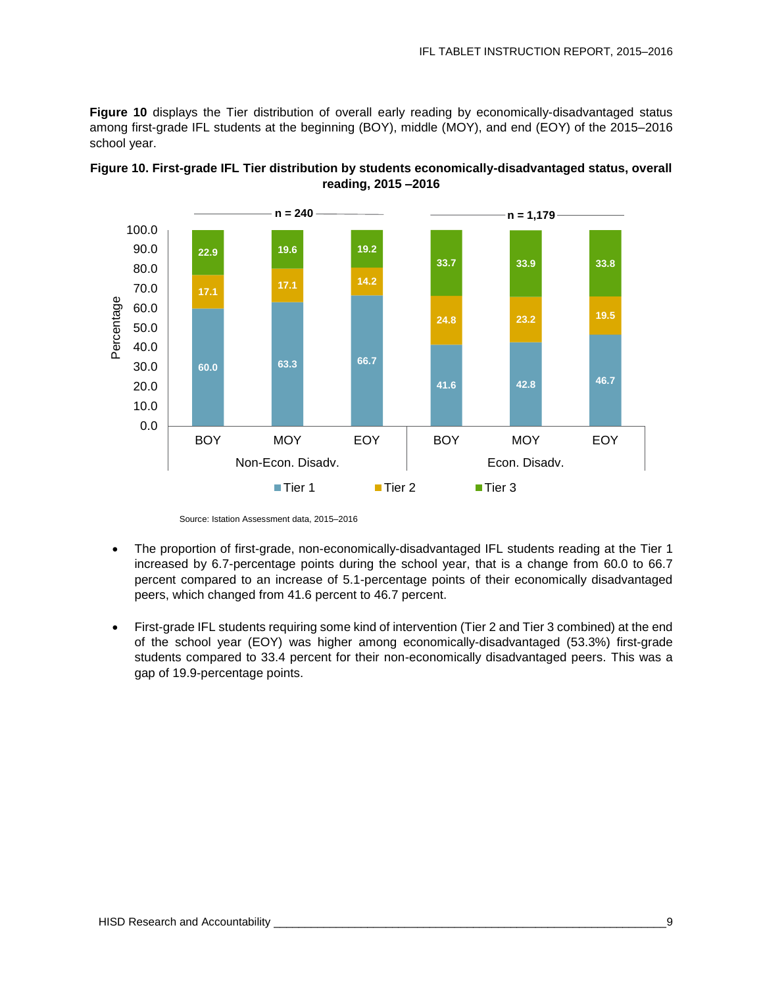**Figure 10** displays the Tier distribution of overall early reading by economically-disadvantaged status among first-grade IFL students at the beginning (BOY), middle (MOY), and end (EOY) of the 2015–2016 school year.





- The proportion of first-grade, non-economically-disadvantaged IFL students reading at the Tier 1 increased by 6.7-percentage points during the school year, that is a change from 60.0 to 66.7 percent compared to an increase of 5.1-percentage points of their economically disadvantaged peers, which changed from 41.6 percent to 46.7 percent.
- First-grade IFL students requiring some kind of intervention (Tier 2 and Tier 3 combined) at the end of the school year (EOY) was higher among economically-disadvantaged (53.3%) first-grade students compared to 33.4 percent for their non-economically disadvantaged peers. This was a gap of 19.9-percentage points.

Source: Istation Assessment data, 2015–2016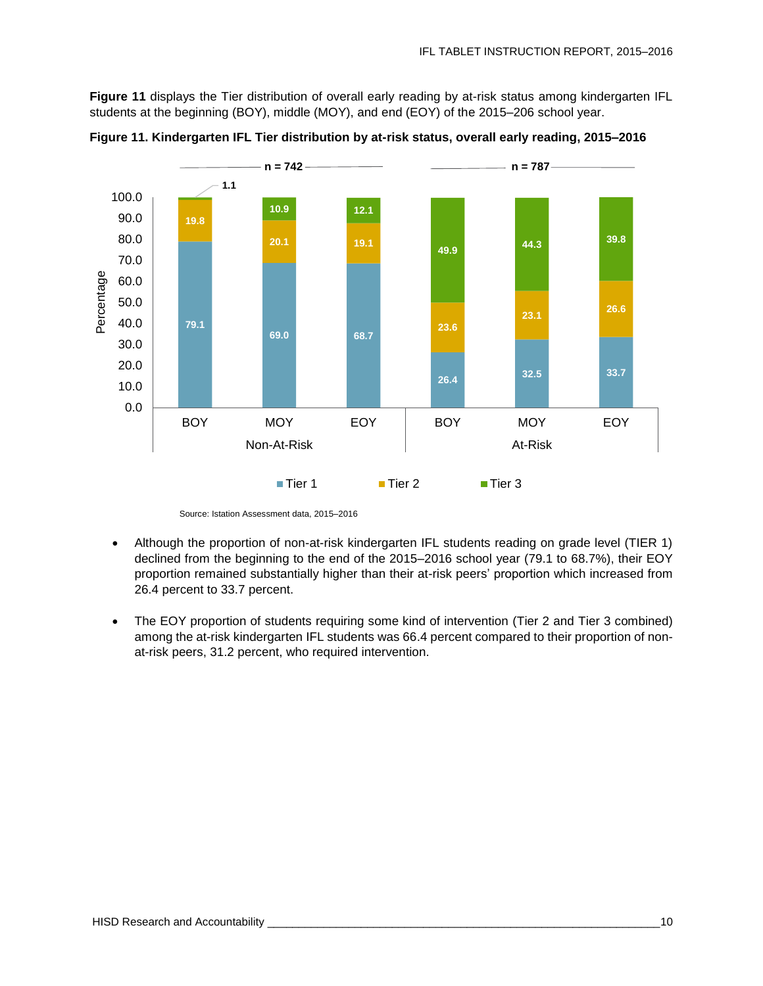**Figure 11** displays the Tier distribution of overall early reading by at-risk status among kindergarten IFL students at the beginning (BOY), middle (MOY), and end (EOY) of the 2015–206 school year.



**Figure 11. Kindergarten IFL Tier distribution by at-risk status, overall early reading, 2015–2016**

Source: Istation Assessment data, 2015–2016

- Although the proportion of non-at-risk kindergarten IFL students reading on grade level (TIER 1) declined from the beginning to the end of the 2015–2016 school year (79.1 to 68.7%), their EOY proportion remained substantially higher than their at-risk peers' proportion which increased from 26.4 percent to 33.7 percent.
- The EOY proportion of students requiring some kind of intervention (Tier 2 and Tier 3 combined) among the at-risk kindergarten IFL students was 66.4 percent compared to their proportion of nonat-risk peers, 31.2 percent, who required intervention.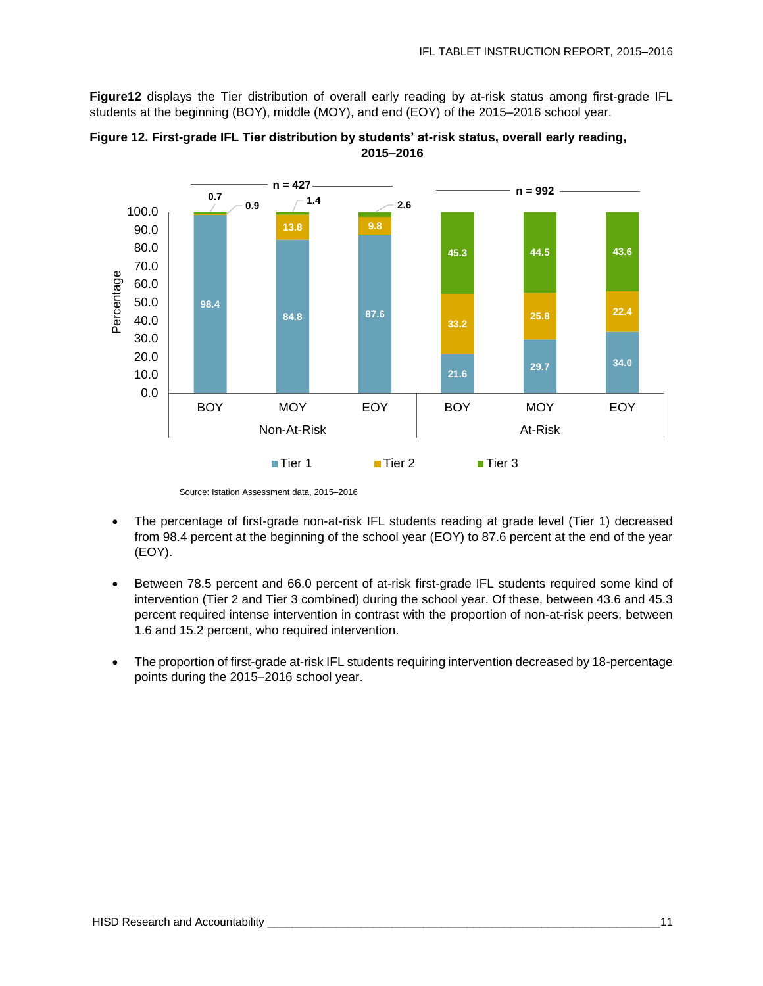**Figure12** displays the Tier distribution of overall early reading by at-risk status among first-grade IFL students at the beginning (BOY), middle (MOY), and end (EOY) of the 2015–2016 school year.





- The percentage of first-grade non-at-risk IFL students reading at grade level (Tier 1) decreased from 98.4 percent at the beginning of the school year (EOY) to 87.6 percent at the end of the year (EOY).
- Between 78.5 percent and 66.0 percent of at-risk first-grade IFL students required some kind of intervention (Tier 2 and Tier 3 combined) during the school year. Of these, between 43.6 and 45.3 percent required intense intervention in contrast with the proportion of non-at-risk peers, between 1.6 and 15.2 percent, who required intervention.
- The proportion of first-grade at-risk IFL students requiring intervention decreased by 18-percentage points during the 2015–2016 school year.

Source: Istation Assessment data, 2015–2016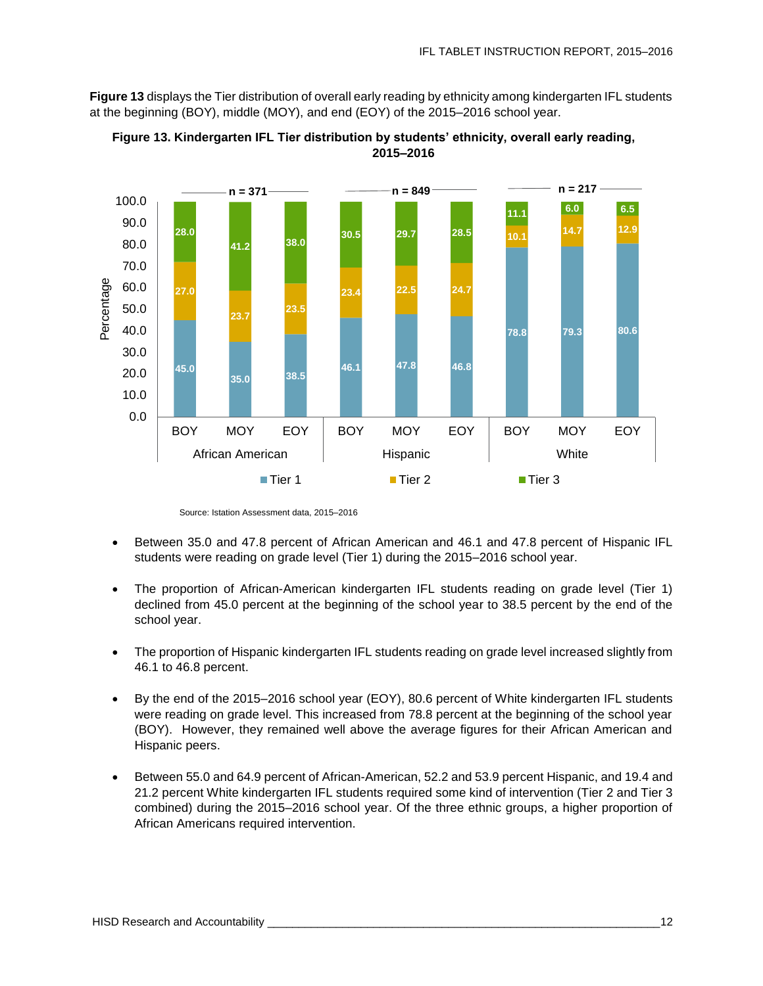**Figure 13** displays the Tier distribution of overall early reading by ethnicity among kindergarten IFL students at the beginning (BOY), middle (MOY), and end (EOY) of the 2015–2016 school year.



**Figure 13. Kindergarten IFL Tier distribution by students' ethnicity, overall early reading, 2015–2016**

- Between 35.0 and 47.8 percent of African American and 46.1 and 47.8 percent of Hispanic IFL students were reading on grade level (Tier 1) during the 2015–2016 school year.
- The proportion of African-American kindergarten IFL students reading on grade level (Tier 1) declined from 45.0 percent at the beginning of the school year to 38.5 percent by the end of the school year.
- The proportion of Hispanic kindergarten IFL students reading on grade level increased slightly from 46.1 to 46.8 percent.
- By the end of the 2015–2016 school year (EOY), 80.6 percent of White kindergarten IFL students were reading on grade level. This increased from 78.8 percent at the beginning of the school year (BOY). However, they remained well above the average figures for their African American and Hispanic peers.
- Between 55.0 and 64.9 percent of African-American, 52.2 and 53.9 percent Hispanic, and 19.4 and 21.2 percent White kindergarten IFL students required some kind of intervention (Tier 2 and Tier 3 combined) during the 2015–2016 school year. Of the three ethnic groups, a higher proportion of African Americans required intervention.

Source: Istation Assessment data, 2015–2016